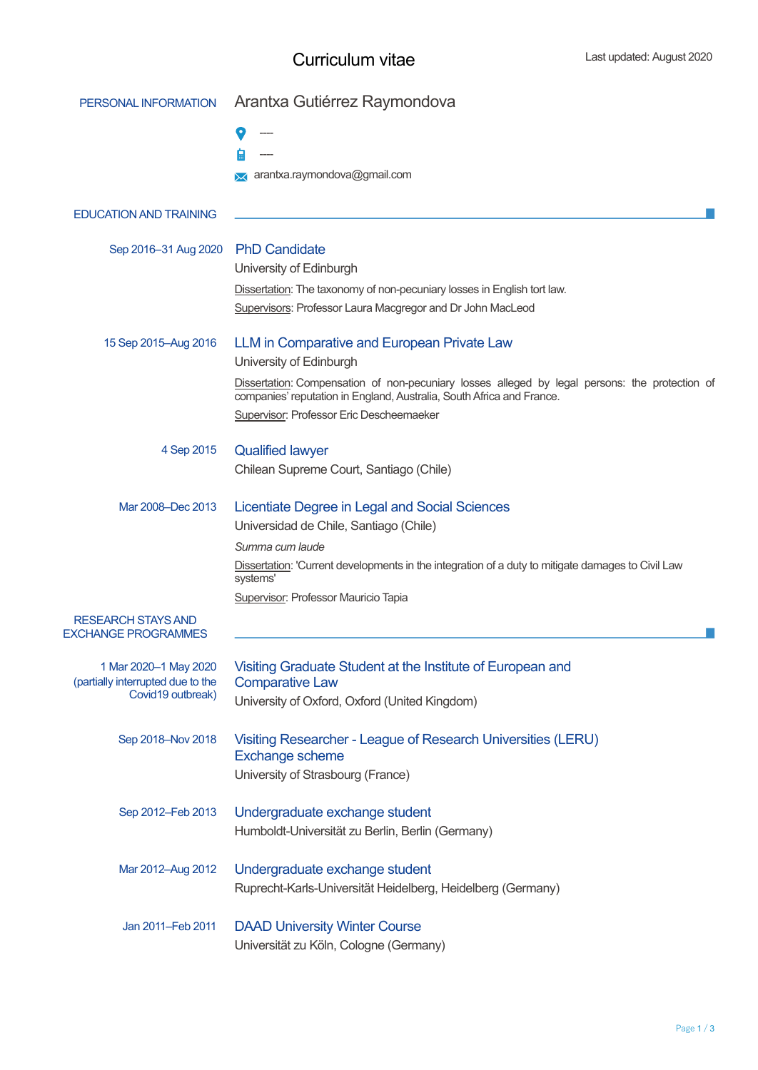## Curriculum vitae

| PERSONAL INFORMATION                                       | Arantxa Gutiérrez Raymondova                                                                                                                                            |  |  |  |  |
|------------------------------------------------------------|-------------------------------------------------------------------------------------------------------------------------------------------------------------------------|--|--|--|--|
|                                                            |                                                                                                                                                                         |  |  |  |  |
|                                                            |                                                                                                                                                                         |  |  |  |  |
|                                                            | arantxa.raymondova@gmail.com                                                                                                                                            |  |  |  |  |
| <b>EDUCATION AND TRAINING</b>                              |                                                                                                                                                                         |  |  |  |  |
| Sep 2016-31 Aug 2020                                       | <b>PhD Candidate</b><br>University of Edinburgh                                                                                                                         |  |  |  |  |
|                                                            | Dissertation: The taxonomy of non-pecuniary losses in English tort law.                                                                                                 |  |  |  |  |
|                                                            | Supervisors: Professor Laura Macgregor and Dr John MacLeod                                                                                                              |  |  |  |  |
| 15 Sep 2015-Aug 2016                                       | LLM in Comparative and European Private Law                                                                                                                             |  |  |  |  |
|                                                            | University of Edinburgh                                                                                                                                                 |  |  |  |  |
|                                                            | Dissertation: Compensation of non-pecuniary losses alleged by legal persons: the protection of<br>companies' reputation in England, Australia, South Africa and France. |  |  |  |  |
|                                                            | Supervisor: Professor Eric Descheemaeker                                                                                                                                |  |  |  |  |
| 4 Sep 2015                                                 | <b>Qualified lawyer</b>                                                                                                                                                 |  |  |  |  |
|                                                            | Chilean Supreme Court, Santiago (Chile)                                                                                                                                 |  |  |  |  |
| Mar 2008-Dec 2013                                          | Licentiate Degree in Legal and Social Sciences                                                                                                                          |  |  |  |  |
|                                                            | Universidad de Chile, Santiago (Chile)                                                                                                                                  |  |  |  |  |
|                                                            | Summa cum laude                                                                                                                                                         |  |  |  |  |
|                                                            | Dissertation: 'Current developments in the integration of a duty to mitigate damages to Civil Law<br>systems'                                                           |  |  |  |  |
|                                                            | Supervisor: Professor Mauricio Tapia                                                                                                                                    |  |  |  |  |
| <b>RESEARCH STAYS AND</b><br><b>EXCHANGE PROGRAMMES</b>    |                                                                                                                                                                         |  |  |  |  |
| 1 Mar 2020-1 May 2020<br>(partially interrupted due to the | Visiting Graduate Student at the Institute of European and<br><b>Comparative Law</b>                                                                                    |  |  |  |  |
| Covid19 outbreak)                                          | University of Oxford, Oxford (United Kingdom)                                                                                                                           |  |  |  |  |
| Sep 2018-Nov 2018                                          | Visiting Researcher - League of Research Universities (LERU)<br><b>Exchange scheme</b>                                                                                  |  |  |  |  |
|                                                            | University of Strasbourg (France)                                                                                                                                       |  |  |  |  |
| Sep 2012-Feb 2013                                          | Undergraduate exchange student                                                                                                                                          |  |  |  |  |
|                                                            | Humboldt-Universität zu Berlin, Berlin (Germany)                                                                                                                        |  |  |  |  |
| Mar 2012-Aug 2012                                          | Undergraduate exchange student                                                                                                                                          |  |  |  |  |
|                                                            | Ruprecht-Karls-Universität Heidelberg, Heidelberg (Germany)                                                                                                             |  |  |  |  |
| Jan 2011-Feb 2011                                          | <b>DAAD University Winter Course</b>                                                                                                                                    |  |  |  |  |
|                                                            | Universität zu Köln, Cologne (Germany)                                                                                                                                  |  |  |  |  |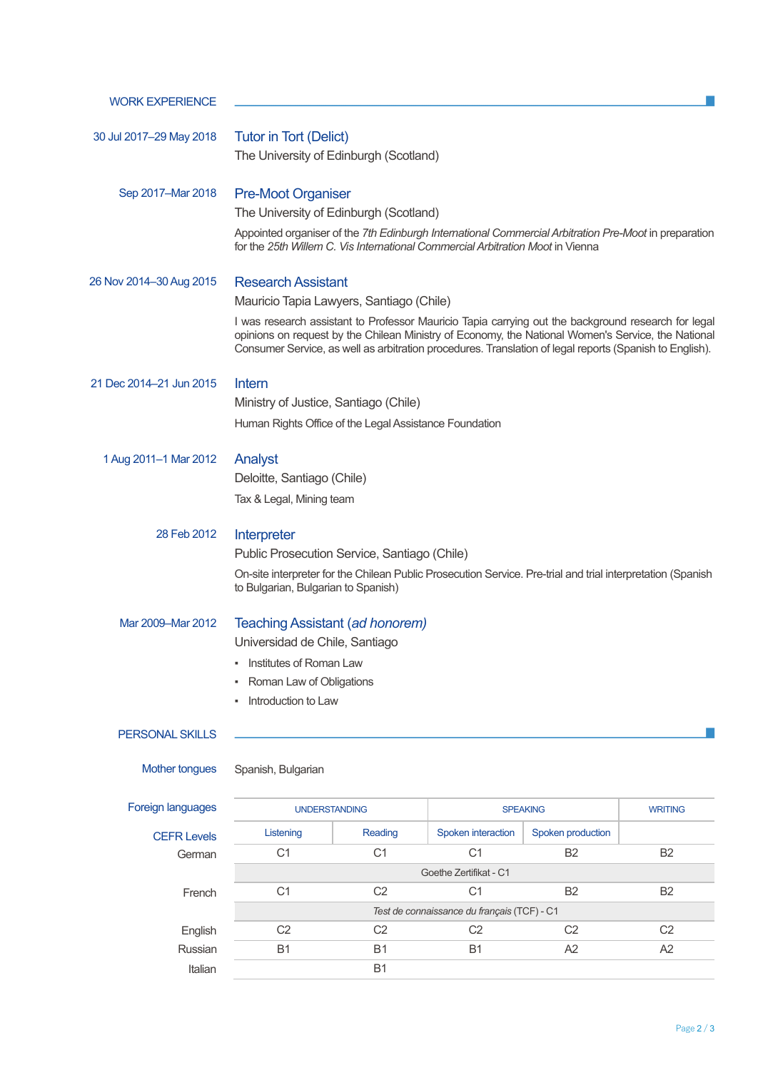| <b>WORK EXPERIENCE</b>  |                                                                                                                                                                                                                                                                                                                      |                             |                    |                   |                |  |  |
|-------------------------|----------------------------------------------------------------------------------------------------------------------------------------------------------------------------------------------------------------------------------------------------------------------------------------------------------------------|-----------------------------|--------------------|-------------------|----------------|--|--|
| 30 Jul 2017-29 May 2018 |                                                                                                                                                                                                                                                                                                                      |                             |                    |                   |                |  |  |
|                         | <b>Tutor in Tort (Delict)</b><br>The University of Edinburgh (Scotland)                                                                                                                                                                                                                                              |                             |                    |                   |                |  |  |
|                         |                                                                                                                                                                                                                                                                                                                      |                             |                    |                   |                |  |  |
| Sep 2017-Mar 2018       | <b>Pre-Moot Organiser</b>                                                                                                                                                                                                                                                                                            |                             |                    |                   |                |  |  |
|                         | The University of Edinburgh (Scotland)<br>Appointed organiser of the 7th Edinburgh International Commercial Arbitration Pre-Moot in preparation                                                                                                                                                                      |                             |                    |                   |                |  |  |
|                         | for the 25th Willem C. Vis International Commercial Arbitration Moot in Vienna                                                                                                                                                                                                                                       |                             |                    |                   |                |  |  |
| 26 Nov 2014–30 Aug 2015 | <b>Research Assistant</b>                                                                                                                                                                                                                                                                                            |                             |                    |                   |                |  |  |
|                         | Mauricio Tapia Lawyers, Santiago (Chile)                                                                                                                                                                                                                                                                             |                             |                    |                   |                |  |  |
|                         | I was research assistant to Professor Mauricio Tapia carrying out the background research for legal<br>opinions on request by the Chilean Ministry of Economy, the National Women's Service, the National<br>Consumer Service, as well as arbitration procedures. Translation of legal reports (Spanish to English). |                             |                    |                   |                |  |  |
| 21 Dec 2014-21 Jun 2015 | Intern                                                                                                                                                                                                                                                                                                               |                             |                    |                   |                |  |  |
|                         | Ministry of Justice, Santiago (Chile)                                                                                                                                                                                                                                                                                |                             |                    |                   |                |  |  |
|                         | Human Rights Office of the Legal Assistance Foundation                                                                                                                                                                                                                                                               |                             |                    |                   |                |  |  |
| 1 Aug 2011-1 Mar 2012   | Analyst                                                                                                                                                                                                                                                                                                              |                             |                    |                   |                |  |  |
|                         | Deloitte, Santiago (Chile)                                                                                                                                                                                                                                                                                           |                             |                    |                   |                |  |  |
|                         | Tax & Legal, Mining team                                                                                                                                                                                                                                                                                             |                             |                    |                   |                |  |  |
| 28 Feb 2012             | Interpreter                                                                                                                                                                                                                                                                                                          |                             |                    |                   |                |  |  |
|                         | Public Prosecution Service, Santiago (Chile)                                                                                                                                                                                                                                                                         |                             |                    |                   |                |  |  |
|                         | On-site interpreter for the Chilean Public Prosecution Service. Pre-trial and trial interpretation (Spanish<br>to Bulgarian, Bulgarian to Spanish)                                                                                                                                                                   |                             |                    |                   |                |  |  |
| Mar 2009-Mar 2012       | Teaching Assistant (ad honorem)                                                                                                                                                                                                                                                                                      |                             |                    |                   |                |  |  |
|                         | Universidad de Chile, Santiago                                                                                                                                                                                                                                                                                       |                             |                    |                   |                |  |  |
|                         | • Institutes of Roman Law                                                                                                                                                                                                                                                                                            |                             |                    |                   |                |  |  |
|                         | Roman Law of Obligations<br>٠                                                                                                                                                                                                                                                                                        |                             |                    |                   |                |  |  |
|                         | Introduction to Law<br>٠                                                                                                                                                                                                                                                                                             |                             |                    |                   |                |  |  |
| <b>PERSONAL SKILLS</b>  |                                                                                                                                                                                                                                                                                                                      |                             |                    |                   |                |  |  |
| Mother tongues          | Spanish, Bulgarian                                                                                                                                                                                                                                                                                                   |                             |                    |                   |                |  |  |
| Foreign languages       | <b>UNDERSTANDING</b>                                                                                                                                                                                                                                                                                                 |                             |                    | <b>SPEAKING</b>   | <b>WRITING</b> |  |  |
| <b>CEFR Levels</b>      | Listening                                                                                                                                                                                                                                                                                                            | Reading                     | Spoken interaction | Spoken production |                |  |  |
| German                  | C <sub>1</sub>                                                                                                                                                                                                                                                                                                       | C <sub>1</sub>              | C <sub>1</sub>     | <b>B2</b>         | B <sub>2</sub> |  |  |
|                         | Goethe Zertifikat - C1                                                                                                                                                                                                                                                                                               |                             |                    |                   |                |  |  |
| French                  | C <sub>1</sub>                                                                                                                                                                                                                                                                                                       | C <sub>2</sub>              | C <sub>1</sub>     | <b>B2</b>         | <b>B2</b>      |  |  |
|                         | Test de connaissance du français (TCF) - C1                                                                                                                                                                                                                                                                          |                             |                    |                   |                |  |  |
| English<br>Russian      | C <sub>2</sub>                                                                                                                                                                                                                                                                                                       | C <sub>2</sub><br><b>B1</b> | C <sub>2</sub>     | C <sub>2</sub>    | C <sub>2</sub> |  |  |
| Italian                 | <b>B1</b><br>A <sub>2</sub><br>A2<br><b>B1</b><br><b>B1</b>                                                                                                                                                                                                                                                          |                             |                    |                   |                |  |  |
|                         |                                                                                                                                                                                                                                                                                                                      |                             |                    |                   |                |  |  |